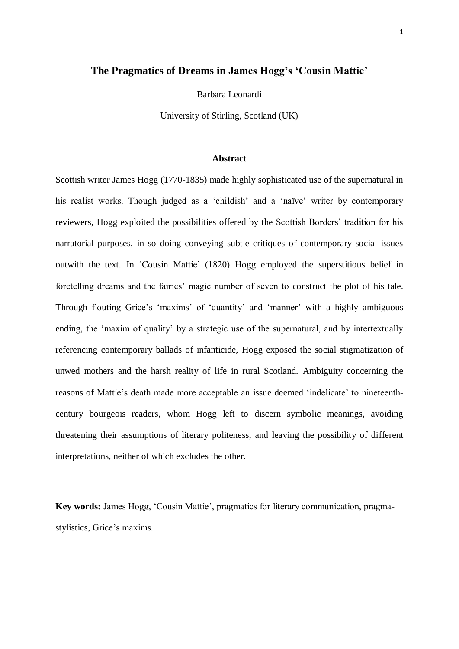# **The Pragmatics of Dreams in James Hogg's 'Cousin Mattie'**

Barbara Leonardi

University of Stirling, Scotland (UK)

# **Abstract**

Scottish writer James Hogg (1770-1835) made highly sophisticated use of the supernatural in his realist works. Though judged as a 'childish' and a 'naïve' writer by contemporary reviewers, Hogg exploited the possibilities offered by the Scottish Borders' tradition for his narratorial purposes, in so doing conveying subtle critiques of contemporary social issues outwith the text. In 'Cousin Mattie' (1820) Hogg employed the superstitious belief in foretelling dreams and the fairies' magic number of seven to construct the plot of his tale. Through flouting Grice's 'maxims' of 'quantity' and 'manner' with a highly ambiguous ending, the 'maxim of quality' by a strategic use of the supernatural, and by intertextually referencing contemporary ballads of infanticide, Hogg exposed the social stigmatization of unwed mothers and the harsh reality of life in rural Scotland. Ambiguity concerning the reasons of Mattie's death made more acceptable an issue deemed 'indelicate' to nineteenthcentury bourgeois readers, whom Hogg left to discern symbolic meanings, avoiding threatening their assumptions of literary politeness, and leaving the possibility of different interpretations, neither of which excludes the other.

**Key words:** James Hogg, 'Cousin Mattie', pragmatics for literary communication, pragmastylistics, Grice's maxims.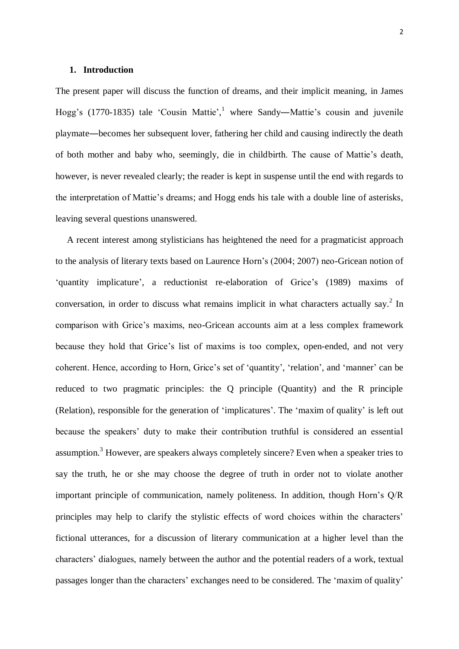# **1. Introduction**

The present paper will discuss the function of dreams, and their implicit meaning, in James Hogg's (1770-1835) tale 'Cousin Mattie',<sup>1</sup> where Sandy—Mattie's cousin and juvenile playmate―becomes her subsequent lover, fathering her child and causing indirectly the death of both mother and baby who, seemingly, die in childbirth. The cause of Mattie's death, however, is never revealed clearly; the reader is kept in suspense until the end with regards to the interpretation of Mattie's dreams; and Hogg ends his tale with a double line of asterisks, leaving several questions unanswered.

 A recent interest among stylisticians has heightened the need for a pragmaticist approach to the analysis of literary texts based on Laurence Horn's (2004; 2007) neo-Gricean notion of 'quantity implicature', a reductionist re-elaboration of Grice's (1989) maxims of conversation, in order to discuss what remains implicit in what characters actually say.<sup>2</sup> In comparison with Grice's maxims, neo-Gricean accounts aim at a less complex framework because they hold that Grice's list of maxims is too complex, open-ended, and not very coherent. Hence, according to Horn, Grice's set of 'quantity', 'relation', and 'manner' can be reduced to two pragmatic principles: the Q principle (Quantity) and the R principle (Relation), responsible for the generation of 'implicatures'. The 'maxim of quality' is left out because the speakers' duty to make their contribution truthful is considered an essential assumption.<sup>3</sup> However, are speakers always completely sincere? Even when a speaker tries to say the truth, he or she may choose the degree of truth in order not to violate another important principle of communication, namely politeness. In addition, though Horn's Q/R principles may help to clarify the stylistic effects of word choices within the characters' fictional utterances, for a discussion of literary communication at a higher level than the characters' dialogues, namely between the author and the potential readers of a work, textual passages longer than the characters' exchanges need to be considered. The 'maxim of quality'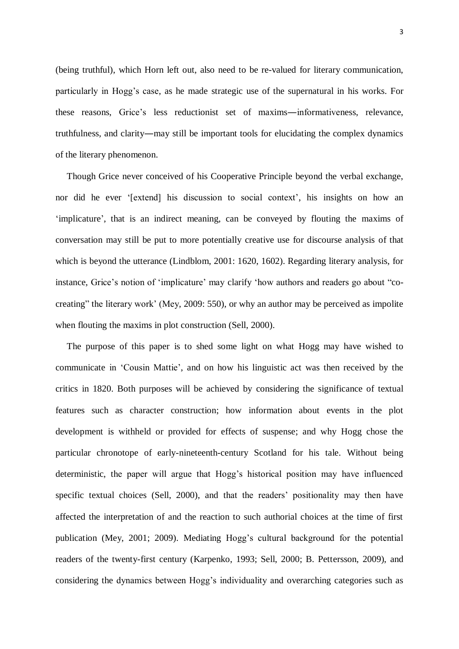(being truthful), which Horn left out, also need to be re-valued for literary communication, particularly in Hogg's case, as he made strategic use of the supernatural in his works. For these reasons, Grice's less reductionist set of maxims―informativeness, relevance, truthfulness, and clarity―may still be important tools for elucidating the complex dynamics of the literary phenomenon.

 Though Grice never conceived of his Cooperative Principle beyond the verbal exchange, nor did he ever '[extend] his discussion to social context', his insights on how an 'implicature', that is an indirect meaning, can be conveyed by flouting the maxims of conversation may still be put to more potentially creative use for discourse analysis of that which is beyond the utterance (Lindblom, 2001: 1620, 1602). Regarding literary analysis, for instance, Grice's notion of 'implicature' may clarify 'how authors and readers go about "cocreating" the literary work' (Mey, 2009: 550), or why an author may be perceived as impolite when flouting the maxims in plot construction (Sell, 2000).

 The purpose of this paper is to shed some light on what Hogg may have wished to communicate in 'Cousin Mattie', and on how his linguistic act was then received by the critics in 1820. Both purposes will be achieved by considering the significance of textual features such as character construction; how information about events in the plot development is withheld or provided for effects of suspense; and why Hogg chose the particular chronotope of early-nineteenth-century Scotland for his tale. Without being deterministic, the paper will argue that Hogg's historical position may have influenced specific textual choices (Sell, 2000), and that the readers' positionality may then have affected the interpretation of and the reaction to such authorial choices at the time of first publication (Mey, 2001; 2009). Mediating Hogg's cultural background for the potential readers of the twenty-first century (Karpenko, 1993; Sell, 2000; B. Pettersson, 2009), and considering the dynamics between Hogg's individuality and overarching categories such as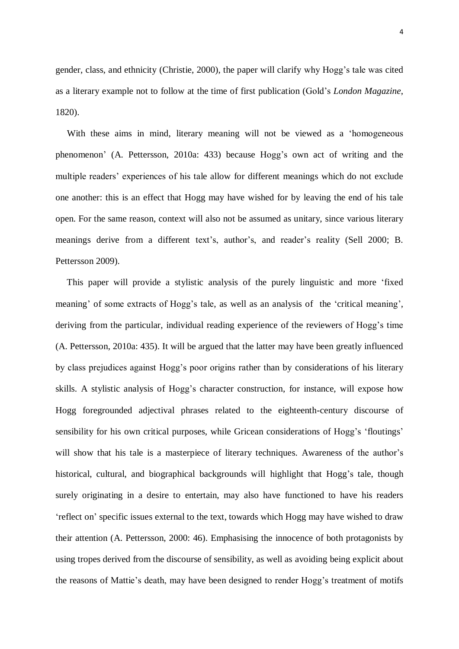gender, class, and ethnicity (Christie, 2000), the paper will clarify why Hogg's tale was cited as a literary example not to follow at the time of first publication (Gold's *London Magazine*, 1820).

 With these aims in mind, literary meaning will not be viewed as a 'homogeneous phenomenon' (A. Pettersson, 2010a: 433) because Hogg's own act of writing and the multiple readers' experiences of his tale allow for different meanings which do not exclude one another: this is an effect that Hogg may have wished for by leaving the end of his tale open. For the same reason, context will also not be assumed as unitary, since various literary meanings derive from a different text's, author's, and reader's reality (Sell 2000; B. Pettersson 2009).

 This paper will provide a stylistic analysis of the purely linguistic and more 'fixed meaning' of some extracts of Hogg's tale, as well as an analysis of the 'critical meaning', deriving from the particular, individual reading experience of the reviewers of Hogg's time (A. Pettersson, 2010a: 435). It will be argued that the latter may have been greatly influenced by class prejudices against Hogg's poor origins rather than by considerations of his literary skills. A stylistic analysis of Hogg's character construction, for instance, will expose how Hogg foregrounded adjectival phrases related to the eighteenth-century discourse of sensibility for his own critical purposes, while Gricean considerations of Hogg's 'floutings' will show that his tale is a masterpiece of literary techniques. Awareness of the author's historical, cultural, and biographical backgrounds will highlight that Hogg's tale, though surely originating in a desire to entertain, may also have functioned to have his readers 'reflect on' specific issues external to the text, towards which Hogg may have wished to draw their attention (A. Pettersson, 2000: 46). Emphasising the innocence of both protagonists by using tropes derived from the discourse of sensibility, as well as avoiding being explicit about the reasons of Mattie's death, may have been designed to render Hogg's treatment of motifs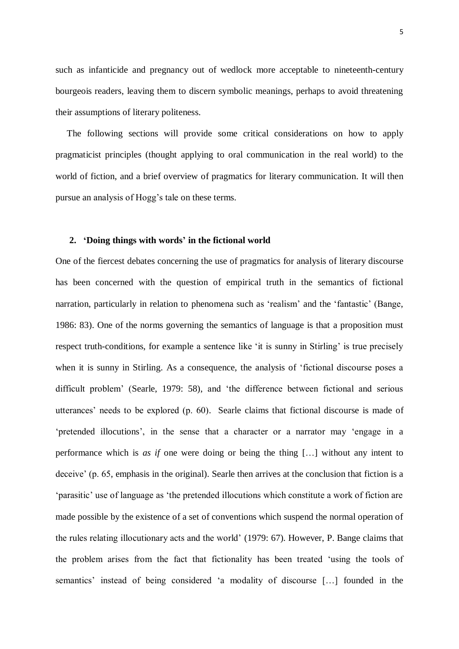such as infanticide and pregnancy out of wedlock more acceptable to nineteenth-century bourgeois readers, leaving them to discern symbolic meanings, perhaps to avoid threatening their assumptions of literary politeness.

 The following sections will provide some critical considerations on how to apply pragmaticist principles (thought applying to oral communication in the real world) to the world of fiction, and a brief overview of pragmatics for literary communication. It will then pursue an analysis of Hogg's tale on these terms.

# **2. 'Doing things with words' in the fictional world**

One of the fiercest debates concerning the use of pragmatics for analysis of literary discourse has been concerned with the question of empirical truth in the semantics of fictional narration, particularly in relation to phenomena such as 'realism' and the 'fantastic' (Bange, 1986: 83). One of the norms governing the semantics of language is that a proposition must respect truth-conditions, for example a sentence like 'it is sunny in Stirling' is true precisely when it is sunny in Stirling. As a consequence, the analysis of 'fictional discourse poses a difficult problem' (Searle, 1979: 58), and 'the difference between fictional and serious utterances' needs to be explored (p. 60). Searle claims that fictional discourse is made of 'pretended illocutions', in the sense that a character or a narrator may 'engage in a performance which is *as if* one were doing or being the thing […] without any intent to deceive' (p. 65, emphasis in the original). Searle then arrives at the conclusion that fiction is a 'parasitic' use of language as 'the pretended illocutions which constitute a work of fiction are made possible by the existence of a set of conventions which suspend the normal operation of the rules relating illocutionary acts and the world' (1979: 67). However, P. Bange claims that the problem arises from the fact that fictionality has been treated 'using the tools of semantics' instead of being considered 'a modality of discourse […] founded in the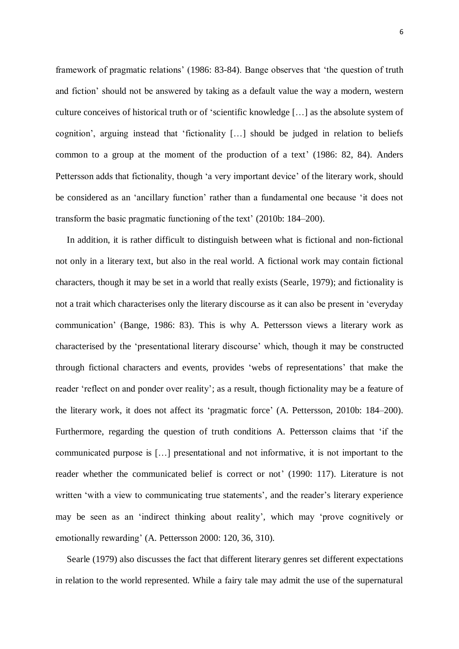framework of pragmatic relations' (1986: 83-84). Bange observes that 'the question of truth and fiction' should not be answered by taking as a default value the way a modern, western culture conceives of historical truth or of 'scientific knowledge […] as the absolute system of cognition', arguing instead that 'fictionality […] should be judged in relation to beliefs common to a group at the moment of the production of a text' (1986: 82, 84). Anders Pettersson adds that fictionality, though 'a very important device' of the literary work, should be considered as an 'ancillary function' rather than a fundamental one because 'it does not transform the basic pragmatic functioning of the text' (2010b: 184–200).

 In addition, it is rather difficult to distinguish between what is fictional and non-fictional not only in a literary text, but also in the real world. A fictional work may contain fictional characters, though it may be set in a world that really exists (Searle, 1979); and fictionality is not a trait which characterises only the literary discourse as it can also be present in 'everyday communication' (Bange, 1986: 83). This is why A. Pettersson views a literary work as characterised by the 'presentational literary discourse' which, though it may be constructed through fictional characters and events, provides 'webs of representations' that make the reader 'reflect on and ponder over reality'; as a result, though fictionality may be a feature of the literary work, it does not affect its 'pragmatic force' (A. Pettersson, 2010b: 184–200). Furthermore, regarding the question of truth conditions A. Pettersson claims that 'if the communicated purpose is […] presentational and not informative, it is not important to the reader whether the communicated belief is correct or not' (1990: 117). Literature is not written 'with a view to communicating true statements', and the reader's literary experience may be seen as an 'indirect thinking about reality', which may 'prove cognitively or emotionally rewarding' (A. Pettersson 2000: 120, 36, 310).

 Searle (1979) also discusses the fact that different literary genres set different expectations in relation to the world represented. While a fairy tale may admit the use of the supernatural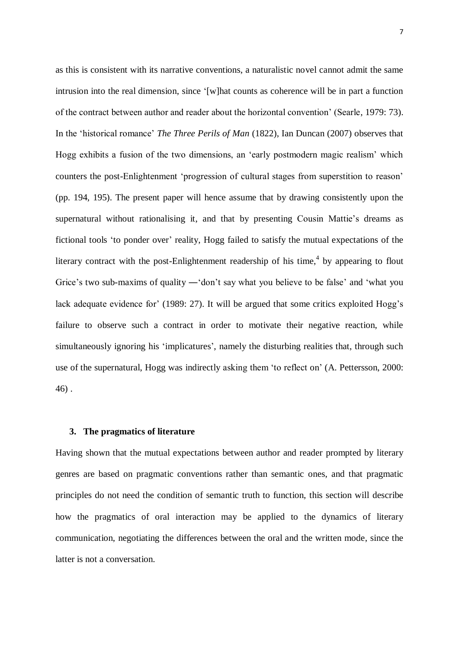as this is consistent with its narrative conventions, a naturalistic novel cannot admit the same intrusion into the real dimension, since '[w]hat counts as coherence will be in part a function of the contract between author and reader about the horizontal convention' (Searle, 1979: 73). In the 'historical romance' *The Three Perils of Man* (1822), Ian Duncan (2007) observes that Hogg exhibits a fusion of the two dimensions, an 'early postmodern magic realism' which counters the post-Enlightenment 'progression of cultural stages from superstition to reason' (pp. 194, 195). The present paper will hence assume that by drawing consistently upon the supernatural without rationalising it, and that by presenting Cousin Mattie's dreams as fictional tools 'to ponder over' reality, Hogg failed to satisfy the mutual expectations of the literary contract with the post-Enlightenment readership of his time,<sup>4</sup> by appearing to flout Grice's two sub-maxims of quality — 'don't say what you believe to be false' and 'what you lack adequate evidence for' (1989: 27). It will be argued that some critics exploited Hogg's failure to observe such a contract in order to motivate their negative reaction, while simultaneously ignoring his 'implicatures', namely the disturbing realities that, through such use of the supernatural, Hogg was indirectly asking them 'to reflect on' (A. Pettersson, 2000: 46) .

#### **3. The pragmatics of literature**

Having shown that the mutual expectations between author and reader prompted by literary genres are based on pragmatic conventions rather than semantic ones, and that pragmatic principles do not need the condition of semantic truth to function, this section will describe how the pragmatics of oral interaction may be applied to the dynamics of literary communication, negotiating the differences between the oral and the written mode, since the latter is not a conversation.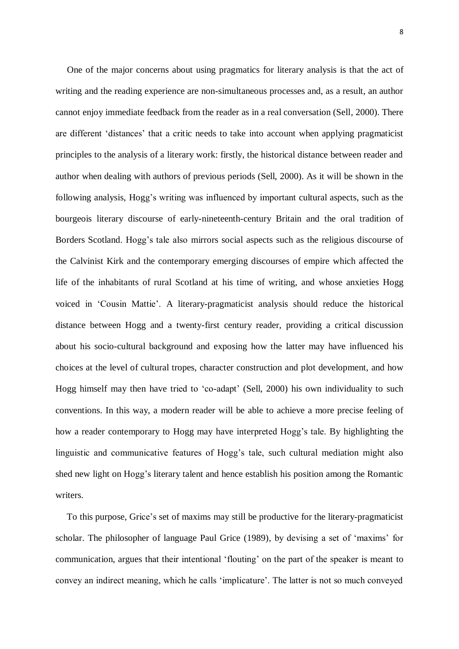One of the major concerns about using pragmatics for literary analysis is that the act of writing and the reading experience are non-simultaneous processes and, as a result, an author cannot enjoy immediate feedback from the reader as in a real conversation (Sell, 2000). There are different 'distances' that a critic needs to take into account when applying pragmaticist principles to the analysis of a literary work: firstly, the historical distance between reader and author when dealing with authors of previous periods (Sell, 2000). As it will be shown in the following analysis, Hogg's writing was influenced by important cultural aspects, such as the bourgeois literary discourse of early-nineteenth-century Britain and the oral tradition of Borders Scotland. Hogg's tale also mirrors social aspects such as the religious discourse of the Calvinist Kirk and the contemporary emerging discourses of empire which affected the life of the inhabitants of rural Scotland at his time of writing, and whose anxieties Hogg voiced in 'Cousin Mattie'. A literary-pragmaticist analysis should reduce the historical distance between Hogg and a twenty-first century reader, providing a critical discussion about his socio-cultural background and exposing how the latter may have influenced his choices at the level of cultural tropes, character construction and plot development, and how Hogg himself may then have tried to 'co-adapt' (Sell, 2000) his own individuality to such conventions. In this way, a modern reader will be able to achieve a more precise feeling of how a reader contemporary to Hogg may have interpreted Hogg's tale. By highlighting the linguistic and communicative features of Hogg's tale, such cultural mediation might also shed new light on Hogg's literary talent and hence establish his position among the Romantic writers.

 To this purpose, Grice's set of maxims may still be productive for the literary-pragmaticist scholar. The philosopher of language Paul Grice (1989), by devising a set of 'maxims' for communication, argues that their intentional 'flouting' on the part of the speaker is meant to convey an indirect meaning, which he calls 'implicature'. The latter is not so much conveyed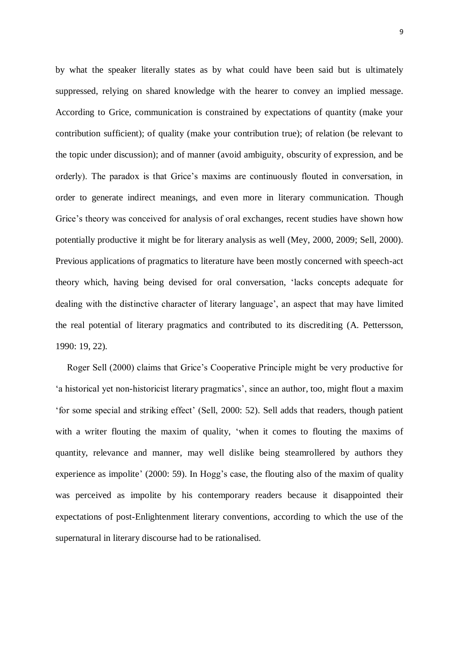by what the speaker literally states as by what could have been said but is ultimately suppressed, relying on shared knowledge with the hearer to convey an implied message. According to Grice, communication is constrained by expectations of quantity (make your contribution sufficient); of quality (make your contribution true); of relation (be relevant to the topic under discussion); and of manner (avoid ambiguity, obscurity of expression, and be orderly). The paradox is that Grice's maxims are continuously flouted in conversation, in order to generate indirect meanings, and even more in literary communication. Though Grice's theory was conceived for analysis of oral exchanges, recent studies have shown how potentially productive it might be for literary analysis as well (Mey, 2000, 2009; Sell, 2000). Previous applications of pragmatics to literature have been mostly concerned with speech-act theory which, having being devised for oral conversation, 'lacks concepts adequate for dealing with the distinctive character of literary language', an aspect that may have limited the real potential of literary pragmatics and contributed to its discrediting (A. Pettersson, 1990: 19, 22).

 Roger Sell (2000) claims that Grice's Cooperative Principle might be very productive for 'a historical yet non-historicist literary pragmatics', since an author, too, might flout a maxim 'for some special and striking effect' (Sell, 2000: 52). Sell adds that readers, though patient with a writer flouting the maxim of quality, 'when it comes to flouting the maxims of quantity, relevance and manner, may well dislike being steamrollered by authors they experience as impolite' (2000: 59). In Hogg's case, the flouting also of the maxim of quality was perceived as impolite by his contemporary readers because it disappointed their expectations of post-Enlightenment literary conventions, according to which the use of the supernatural in literary discourse had to be rationalised.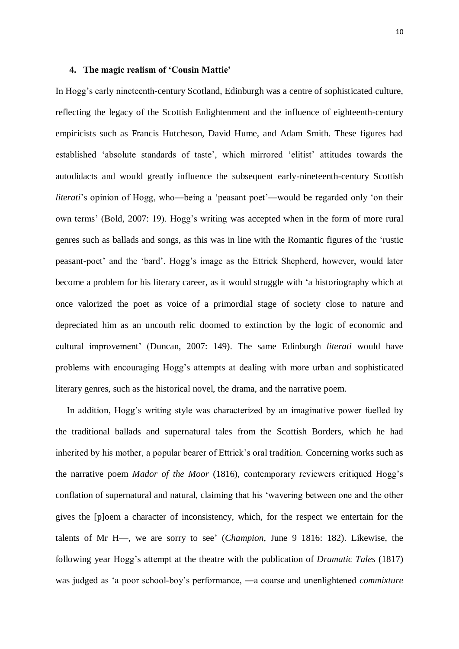### **4. The magic realism of 'Cousin Mattie'**

In Hogg's early nineteenth-century Scotland, Edinburgh was a centre of sophisticated culture, reflecting the legacy of the Scottish Enlightenment and the influence of eighteenth-century empiricists such as Francis Hutcheson, David Hume, and Adam Smith. These figures had established 'absolute standards of taste', which mirrored 'elitist' attitudes towards the autodidacts and would greatly influence the subsequent early-nineteenth-century Scottish *literati*'s opinion of Hogg, who—being a 'peasant poet'—would be regarded only 'on their own terms' (Bold, 2007: 19). Hogg's writing was accepted when in the form of more rural genres such as ballads and songs, as this was in line with the Romantic figures of the 'rustic peasant-poet' and the 'bard'. Hogg's image as the Ettrick Shepherd, however, would later become a problem for his literary career, as it would struggle with 'a historiography which at once valorized the poet as voice of a primordial stage of society close to nature and depreciated him as an uncouth relic doomed to extinction by the logic of economic and cultural improvement' (Duncan, 2007: 149). The same Edinburgh *literati* would have problems with encouraging Hogg's attempts at dealing with more urban and sophisticated literary genres, such as the historical novel, the drama, and the narrative poem.

 In addition, Hogg's writing style was characterized by an imaginative power fuelled by the traditional ballads and supernatural tales from the Scottish Borders, which he had inherited by his mother, a popular bearer of Ettrick's oral tradition. Concerning works such as the narrative poem *Mador of the Moor* (1816), contemporary reviewers critiqued Hogg's conflation of supernatural and natural, claiming that his 'wavering between one and the other gives the [p]oem a character of inconsistency, which, for the respect we entertain for the talents of Mr H—, we are sorry to see' (*Champion*, June 9 1816: 182). Likewise, the following year Hogg's attempt at the theatre with the publication of *Dramatic Tales* (1817) was judged as 'a poor school-boy's performance, ―a coarse and unenlightened *commixture*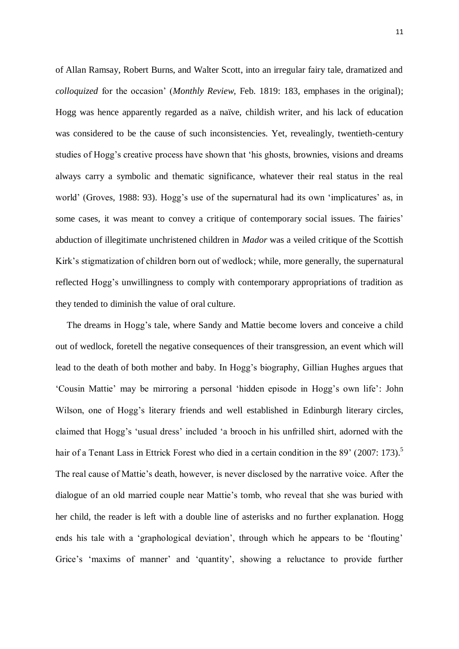of Allan Ramsay, Robert Burns, and Walter Scott, into an irregular fairy tale, dramatized and *colloquized* for the occasion' (*Monthly Review*, Feb. 1819: 183, emphases in the original); Hogg was hence apparently regarded as a naïve, childish writer, and his lack of education was considered to be the cause of such inconsistencies. Yet, revealingly, twentieth-century studies of Hogg's creative process have shown that 'his ghosts, brownies, visions and dreams always carry a symbolic and thematic significance, whatever their real status in the real world' (Groves, 1988: 93). Hogg's use of the supernatural had its own 'implicatures' as, in some cases, it was meant to convey a critique of contemporary social issues. The fairies' abduction of illegitimate unchristened children in *Mador* was a veiled critique of the Scottish Kirk's stigmatization of children born out of wedlock; while, more generally, the supernatural reflected Hogg's unwillingness to comply with contemporary appropriations of tradition as they tended to diminish the value of oral culture.

 The dreams in Hogg's tale, where Sandy and Mattie become lovers and conceive a child out of wedlock, foretell the negative consequences of their transgression, an event which will lead to the death of both mother and baby. In Hogg's biography, Gillian Hughes argues that 'Cousin Mattie' may be mirroring a personal 'hidden episode in Hogg's own life': John Wilson, one of Hogg's literary friends and well established in Edinburgh literary circles, claimed that Hogg's 'usual dress' included 'a brooch in his unfrilled shirt, adorned with the hair of a Tenant Lass in Ettrick Forest who died in a certain condition in the 89' (2007: 173).<sup>5</sup> The real cause of Mattie's death, however, is never disclosed by the narrative voice. After the dialogue of an old married couple near Mattie's tomb, who reveal that she was buried with her child, the reader is left with a double line of asterisks and no further explanation. Hogg ends his tale with a 'graphological deviation', through which he appears to be 'flouting' Grice's 'maxims of manner' and 'quantity', showing a reluctance to provide further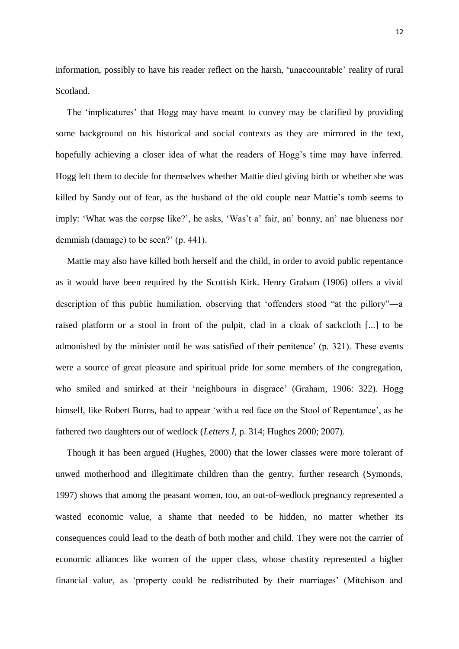information, possibly to have his reader reflect on the harsh, 'unaccountable' reality of rural Scotland.

 The 'implicatures' that Hogg may have meant to convey may be clarified by providing some background on his historical and social contexts as they are mirrored in the text, hopefully achieving a closer idea of what the readers of Hogg's time may have inferred. Hogg left them to decide for themselves whether Mattie died giving birth or whether she was killed by Sandy out of fear, as the husband of the old couple near Mattie's tomb seems to imply: 'What was the corpse like?', he asks, 'Was't a' fair, an' bonny, an' nae blueness nor demmish (damage) to be seen?' (p. 441).

 Mattie may also have killed both herself and the child, in order to avoid public repentance as it would have been required by the Scottish Kirk. Henry Graham (1906) offers a vivid description of this public humiliation, observing that 'offenders stood "at the pillory"―a raised platform or a stool in front of the pulpit, clad in a cloak of sackcloth [...] to be admonished by the minister until he was satisfied of their penitence' (p. 321). These events were a source of great pleasure and spiritual pride for some members of the congregation, who smiled and smirked at their 'neighbours in disgrace' (Graham, 1906: 322). Hogg himself, like Robert Burns, had to appear 'with a red face on the Stool of Repentance', as he fathered two daughters out of wedlock (*Letters I*, p. 314; Hughes 2000; 2007).

 Though it has been argued (Hughes, 2000) that the lower classes were more tolerant of unwed motherhood and illegitimate children than the gentry, further research (Symonds, 1997) shows that among the peasant women, too, an out-of-wedlock pregnancy represented a wasted economic value, a shame that needed to be hidden, no matter whether its consequences could lead to the death of both mother and child. They were not the carrier of economic alliances like women of the upper class, whose chastity represented a higher financial value, as 'property could be redistributed by their marriages' (Mitchison and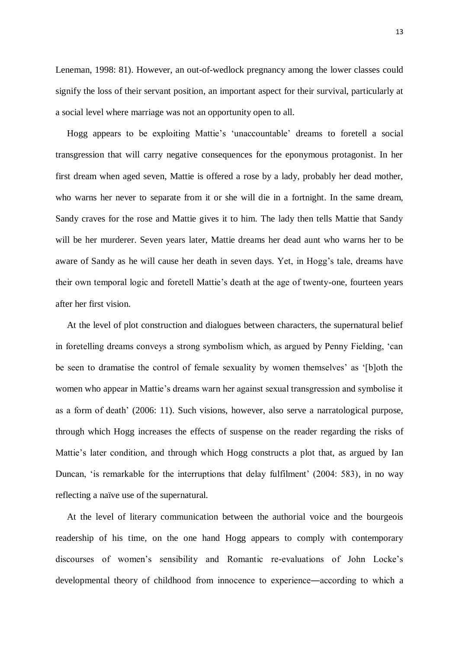Leneman, 1998: 81). However, an out-of-wedlock pregnancy among the lower classes could signify the loss of their servant position, an important aspect for their survival, particularly at a social level where marriage was not an opportunity open to all.

 Hogg appears to be exploiting Mattie's 'unaccountable' dreams to foretell a social transgression that will carry negative consequences for the eponymous protagonist. In her first dream when aged seven, Mattie is offered a rose by a lady, probably her dead mother, who warns her never to separate from it or she will die in a fortnight. In the same dream, Sandy craves for the rose and Mattie gives it to him. The lady then tells Mattie that Sandy will be her murderer. Seven years later, Mattie dreams her dead aunt who warns her to be aware of Sandy as he will cause her death in seven days. Yet, in Hogg's tale, dreams have their own temporal logic and foretell Mattie's death at the age of twenty-one, fourteen years after her first vision.

 At the level of plot construction and dialogues between characters, the supernatural belief in foretelling dreams conveys a strong symbolism which, as argued by Penny Fielding, 'can be seen to dramatise the control of female sexuality by women themselves' as '[b]oth the women who appear in Mattie's dreams warn her against sexual transgression and symbolise it as a form of death' (2006: 11). Such visions, however, also serve a narratological purpose, through which Hogg increases the effects of suspense on the reader regarding the risks of Mattie's later condition, and through which Hogg constructs a plot that, as argued by Ian Duncan, 'is remarkable for the interruptions that delay fulfilment' (2004: 583), in no way reflecting a naïve use of the supernatural.

 At the level of literary communication between the authorial voice and the bourgeois readership of his time, on the one hand Hogg appears to comply with contemporary discourses of women's sensibility and Romantic re-evaluations of John Locke's developmental theory of childhood from innocence to experience―according to which a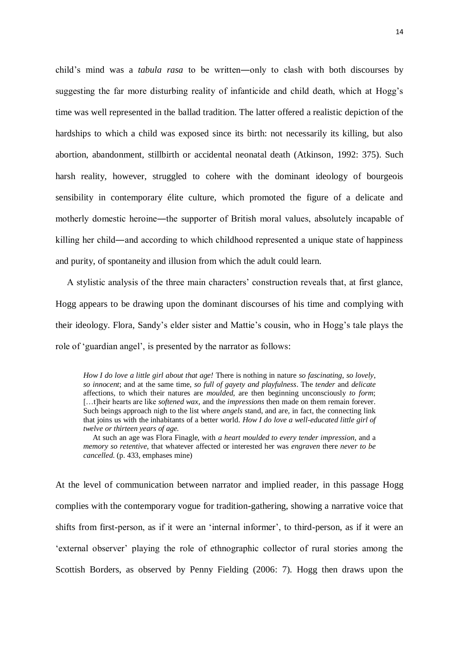child's mind was a *tabula rasa* to be written―only to clash with both discourses by suggesting the far more disturbing reality of infanticide and child death, which at Hogg's time was well represented in the ballad tradition. The latter offered a realistic depiction of the hardships to which a child was exposed since its birth: not necessarily its killing, but also abortion, abandonment, stillbirth or accidental neonatal death (Atkinson, 1992: 375). Such harsh reality, however, struggled to cohere with the dominant ideology of bourgeois sensibility in contemporary élite culture, which promoted the figure of a delicate and motherly domestic heroine—the supporter of British moral values, absolutely incapable of killing her child—and according to which childhood represented a unique state of happiness and purity, of spontaneity and illusion from which the adult could learn.

 A stylistic analysis of the three main characters' construction reveals that, at first glance, Hogg appears to be drawing upon the dominant discourses of his time and complying with their ideology. Flora, Sandy's elder sister and Mattie's cousin, who in Hogg's tale plays the role of 'guardian angel', is presented by the narrator as follows:

*How I do love a little girl about that age!* There is nothing in nature *so fascinating*, *so lovely*, *so innocent*; and at the same time, *so full of gayety and playfulness*. The *tender* and *delicate*  affections, to which their natures are *moulded*, are then beginning unconsciously *to form*; […t]heir hearts are like *softened wax*, and the *impressions* then made on them remain forever. Such beings approach nigh to the list where *angels* stand, and are, in fact, the connecting link that joins us with the inhabitants of a better world. *How I do love a well-educated little girl of twelve or thirteen years of age.*

 At such an age was Flora Finagle, with *a heart moulded to every tender impression*, and a *memory so retentive*, that whatever affected or interested her was *engraven* there *never to be cancelled*. (p. 433, emphases mine)

At the level of communication between narrator and implied reader, in this passage Hogg complies with the contemporary vogue for tradition-gathering, showing a narrative voice that shifts from first-person, as if it were an 'internal informer', to third-person, as if it were an 'external observer' playing the role of ethnographic collector of rural stories among the Scottish Borders, as observed by Penny Fielding (2006: 7). Hogg then draws upon the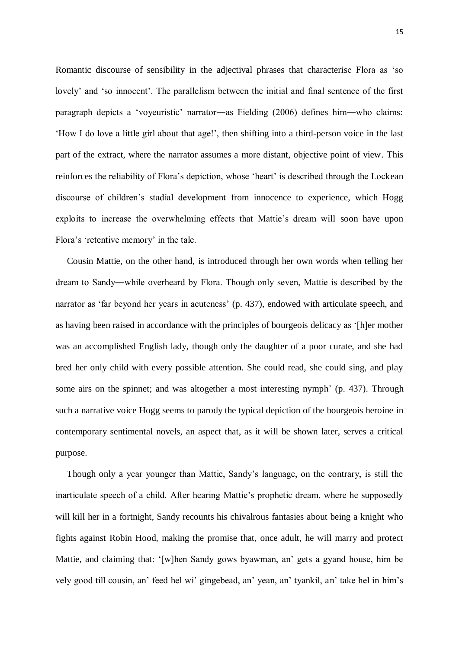Romantic discourse of sensibility in the adjectival phrases that characterise Flora as 'so lovely' and 'so innocent'. The parallelism between the initial and final sentence of the first paragraph depicts a 'voyeuristic' narrator―as Fielding (2006) defines him―who claims: 'How I do love a little girl about that age!', then shifting into a third-person voice in the last part of the extract, where the narrator assumes a more distant, objective point of view. This reinforces the reliability of Flora's depiction, whose 'heart' is described through the Lockean discourse of children's stadial development from innocence to experience, which Hogg exploits to increase the overwhelming effects that Mattie's dream will soon have upon Flora's 'retentive memory' in the tale.

 Cousin Mattie, on the other hand, is introduced through her own words when telling her dream to Sandy―while overheard by Flora. Though only seven, Mattie is described by the narrator as 'far beyond her years in acuteness' (p. 437), endowed with articulate speech, and as having been raised in accordance with the principles of bourgeois delicacy as '[h]er mother was an accomplished English lady, though only the daughter of a poor curate, and she had bred her only child with every possible attention. She could read, she could sing, and play some airs on the spinnet; and was altogether a most interesting nymph' (p. 437). Through such a narrative voice Hogg seems to parody the typical depiction of the bourgeois heroine in contemporary sentimental novels, an aspect that, as it will be shown later, serves a critical purpose.

 Though only a year younger than Mattie, Sandy's language, on the contrary, is still the inarticulate speech of a child. After hearing Mattie's prophetic dream, where he supposedly will kill her in a fortnight, Sandy recounts his chivalrous fantasies about being a knight who fights against Robin Hood, making the promise that, once adult, he will marry and protect Mattie, and claiming that: '[w]hen Sandy gows byawman, an' gets a gyand house, him be vely good till cousin, an' feed hel wi' gingebead, an' yean, an' tyankil, an' take hel in him's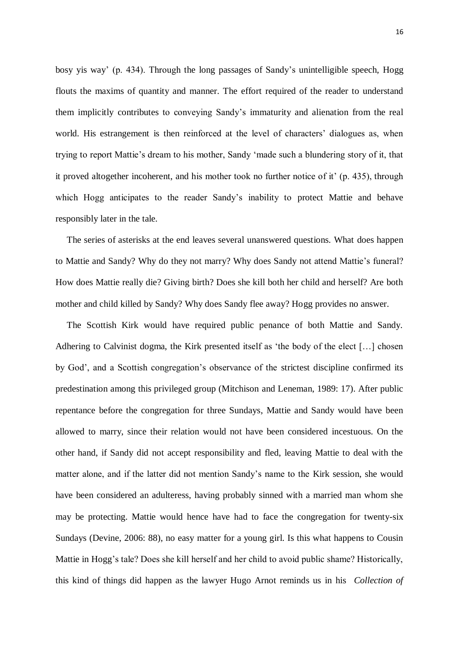bosy yis way' (p. 434). Through the long passages of Sandy's unintelligible speech, Hogg flouts the maxims of quantity and manner. The effort required of the reader to understand them implicitly contributes to conveying Sandy's immaturity and alienation from the real world. His estrangement is then reinforced at the level of characters' dialogues as, when trying to report Mattie's dream to his mother, Sandy 'made such a blundering story of it, that it proved altogether incoherent, and his mother took no further notice of it' (p. 435), through which Hogg anticipates to the reader Sandy's inability to protect Mattie and behave responsibly later in the tale.

 The series of asterisks at the end leaves several unanswered questions. What does happen to Mattie and Sandy? Why do they not marry? Why does Sandy not attend Mattie's funeral? How does Mattie really die? Giving birth? Does she kill both her child and herself? Are both mother and child killed by Sandy? Why does Sandy flee away? Hogg provides no answer.

 The Scottish Kirk would have required public penance of both Mattie and Sandy. Adhering to Calvinist dogma, the Kirk presented itself as 'the body of the elect […] chosen by God', and a Scottish congregation's observance of the strictest discipline confirmed its predestination among this privileged group (Mitchison and Leneman, 1989: 17). After public repentance before the congregation for three Sundays, Mattie and Sandy would have been allowed to marry, since their relation would not have been considered incestuous. On the other hand, if Sandy did not accept responsibility and fled, leaving Mattie to deal with the matter alone, and if the latter did not mention Sandy's name to the Kirk session, she would have been considered an adulteress, having probably sinned with a married man whom she may be protecting. Mattie would hence have had to face the congregation for twenty-six Sundays (Devine, 2006: 88), no easy matter for a young girl. Is this what happens to Cousin Mattie in Hogg's tale? Does she kill herself and her child to avoid public shame? Historically, this kind of things did happen as the lawyer Hugo Arnot reminds us in his *Collection of*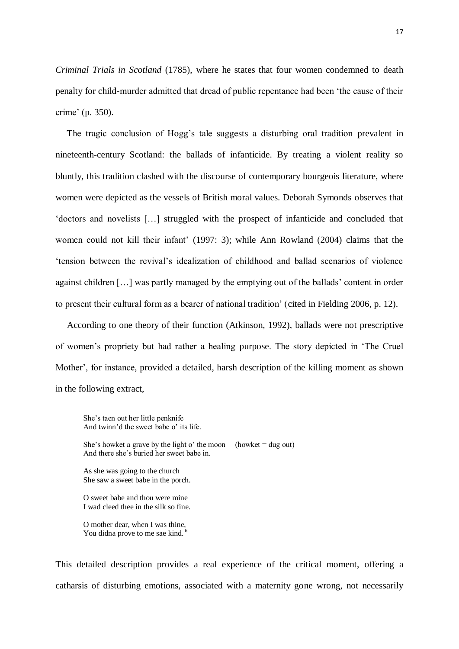*Criminal Trials in Scotland* (1785), where he states that four women condemned to death penalty for child-murder admitted that dread of public repentance had been 'the cause of their crime' (p. 350).

 The tragic conclusion of Hogg's tale suggests a disturbing oral tradition prevalent in nineteenth-century Scotland: the ballads of infanticide. By treating a violent reality so bluntly, this tradition clashed with the discourse of contemporary bourgeois literature, where women were depicted as the vessels of British moral values. Deborah Symonds observes that 'doctors and novelists […] struggled with the prospect of infanticide and concluded that women could not kill their infant' (1997: 3); while Ann Rowland (2004) claims that the 'tension between the revival's idealization of childhood and ballad scenarios of violence against children […] was partly managed by the emptying out of the ballads' content in order to present their cultural form as a bearer of national tradition' (cited in Fielding 2006, p. 12).

 According to one theory of their function (Atkinson, 1992), ballads were not prescriptive of women's propriety but had rather a healing purpose. The story depicted in 'The Cruel Mother', for instance, provided a detailed, harsh description of the killing moment as shown in the following extract,

She's taen out her little penknife And twinn'd the sweet babe o' its life.

She's howket a grave by the light o' the moon (howket  $=$  dug out) And there she's buried her sweet babe in.

As she was going to the church She saw a sweet babe in the porch.

O sweet babe and thou were mine I wad cleed thee in the silk so fine.

O mother dear, when I was thine, You didna prove to me sae kind.

This detailed description provides a real experience of the critical moment, offering a catharsis of disturbing emotions, associated with a maternity gone wrong, not necessarily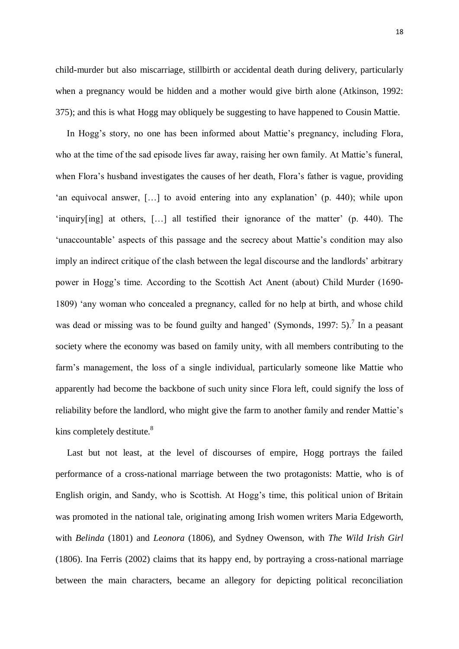child-murder but also miscarriage, stillbirth or accidental death during delivery, particularly when a pregnancy would be hidden and a mother would give birth alone (Atkinson, 1992: 375); and this is what Hogg may obliquely be suggesting to have happened to Cousin Mattie.

 In Hogg's story, no one has been informed about Mattie's pregnancy, including Flora, who at the time of the sad episode lives far away, raising her own family. At Mattie's funeral, when Flora's husband investigates the causes of her death, Flora's father is vague, providing 'an equivocal answer, […] to avoid entering into any explanation' (p. 440); while upon 'inquiry[ing] at others, […] all testified their ignorance of the matter' (p. 440). The 'unaccountable' aspects of this passage and the secrecy about Mattie's condition may also imply an indirect critique of the clash between the legal discourse and the landlords' arbitrary power in Hogg's time. According to the Scottish Act Anent (about) Child Murder (1690- 1809) 'any woman who concealed a pregnancy, called for no help at birth, and whose child was dead or missing was to be found guilty and hanged' (Symonds, 1997: 5).<sup>7</sup> In a peasant society where the economy was based on family unity, with all members contributing to the farm's management, the loss of a single individual, particularly someone like Mattie who apparently had become the backbone of such unity since Flora left, could signify the loss of reliability before the landlord, who might give the farm to another family and render Mattie's kins completely destitute. $8$ 

 Last but not least, at the level of discourses of empire, Hogg portrays the failed performance of a cross-national marriage between the two protagonists: Mattie, who is of English origin, and Sandy, who is Scottish. At Hogg's time, this political union of Britain was promoted in the national tale, originating among Irish women writers Maria Edgeworth, with *Belinda* (1801) and *Leonora* (1806), and Sydney Owenson, with *The Wild Irish Girl*  (1806). Ina Ferris (2002) claims that its happy end, by portraying a cross-national marriage between the main characters, became an allegory for depicting political reconciliation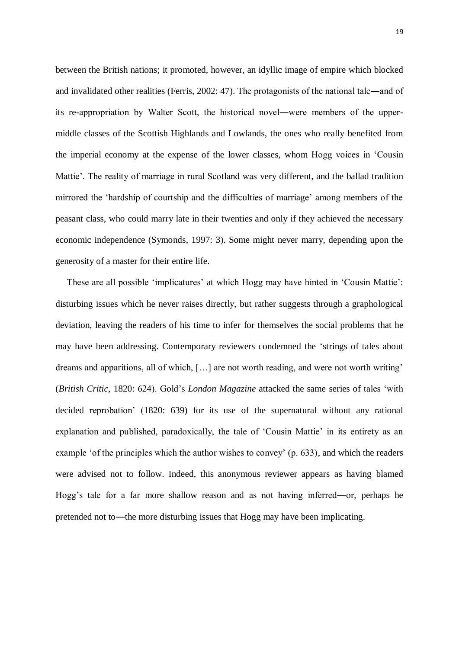between the British nations; it promoted, however, an idyllic image of empire which blocked and invalidated other realities (Ferris, 2002: 47). The protagonists of the national tale―and of its re-appropriation by Walter Scott, the historical novel―were members of the uppermiddle classes of the Scottish Highlands and Lowlands, the ones who really benefited from the imperial economy at the expense of the lower classes, whom Hogg voices in 'Cousin Mattie'. The reality of marriage in rural Scotland was very different, and the ballad tradition mirrored the 'hardship of courtship and the difficulties of marriage' among members of the peasant class, who could marry late in their twenties and only if they achieved the necessary economic independence (Symonds, 1997: 3). Some might never marry, depending upon the generosity of a master for their entire life.

 These are all possible 'implicatures' at which Hogg may have hinted in 'Cousin Mattie': disturbing issues which he never raises directly, but rather suggests through a graphological deviation, leaving the readers of his time to infer for themselves the social problems that he may have been addressing. Contemporary reviewers condemned the 'strings of tales about dreams and apparitions, all of which, […] are not worth reading, and were not worth writing' (*British Critic*, 1820: 624). Gold's *London Magazine* attacked the same series of tales 'with decided reprobation' (1820: 639) for its use of the supernatural without any rational explanation and published, paradoxically, the tale of 'Cousin Mattie' in its entirety as an example 'of the principles which the author wishes to convey' (p. 633), and which the readers were advised not to follow. Indeed, this anonymous reviewer appears as having blamed Hogg's tale for a far more shallow reason and as not having inferred―or, perhaps he pretended not to―the more disturbing issues that Hogg may have been implicating.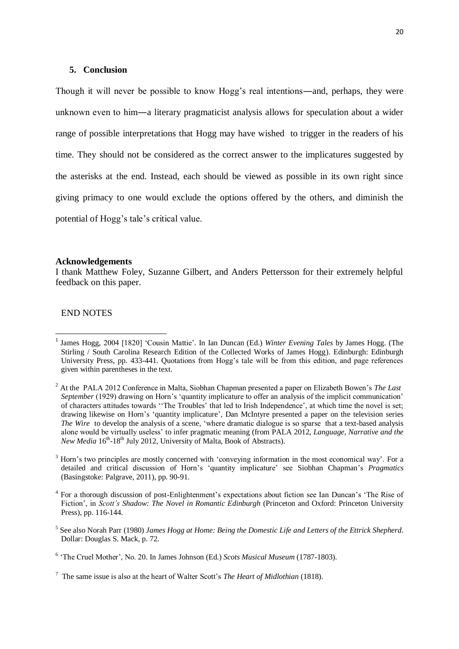### **5. Conclusion**

Though it will never be possible to know Hogg's real intentions―and, perhaps, they were unknown even to him―a literary pragmaticist analysis allows for speculation about a wider range of possible interpretations that Hogg may have wished to trigger in the readers of his time. They should not be considered as the correct answer to the implicatures suggested by the asterisks at the end. Instead, each should be viewed as possible in its own right since giving primacy to one would exclude the options offered by the others, and diminish the potential of Hogg's tale's critical value.

#### **Acknowledgements**

I thank Matthew Foley, Suzanne Gilbert, and Anders Pettersson for their extremely helpful feedback on this paper.

### END NOTES

1

5 See also Norah Parr (1980) *James Hogg at Home: Being the Domestic Life and Letters of the Ettrick Shepherd*. Dollar: Douglas S. Mack, p. 72.

<sup>1</sup> James Hogg, 2004 [1820] 'Cousin Mattie'. In Ian Duncan (Ed.) *Winter Evening Tales* by James Hogg. (The Stirling / South Carolina Research Edition of the Collected Works of James Hogg). Edinburgh: Edinburgh University Press, pp. 433-441. Quotations from Hogg's tale will be from this edition, and page references given within parentheses in the text.

<sup>2</sup> At the PALA 2012 Conference in Malta, Siobhan Chapman presented a paper on Elizabeth Bowen's *The Last September* (1929) drawing on Horn's 'quantity implicature to offer an analysis of the implicit communication' of characters attitudes towards ''The Troubles' that led to Irish Independence', at which time the novel is set; drawing likewise on Horn's 'quantity implicature', Dan McIntyre presented a paper on the television series *The Wire* to develop the analysis of a scene, 'where dramatic dialogue is so sparse that a text-based analysis alone would be virtually useless' to infer pragmatic meaning (from PALA 2012, *Language, Narrative and the*  New Media 16<sup>th</sup>-18<sup>th</sup> July 2012, University of Malta, Book of Abstracts).

<sup>3</sup> Horn's two principles are mostly concerned with 'conveying information in the most economical way'. For a detailed and critical discussion of Horn's 'quantity implicature' see Siobhan Chapman's *Pragmatics* (Basingstoke: Palgrave, 2011), pp. 90-91.

<sup>&</sup>lt;sup>4</sup> For a thorough discussion of post-Enlightenment's expectations about fiction see Ian Duncan's 'The Rise of Fiction', in *Scott's Shadow: The Novel in Romantic Edinburgh* (Princeton and Oxford: Princeton University Press), pp. 116-144.

<sup>6</sup> 'The Cruel Mother', No. 20. In James Johnson (Ed.) *Scots Musical Museum* (1787-1803).

<sup>7</sup> The same issue is also at the heart of Walter Scott's *The Heart of Midlothian* (1818).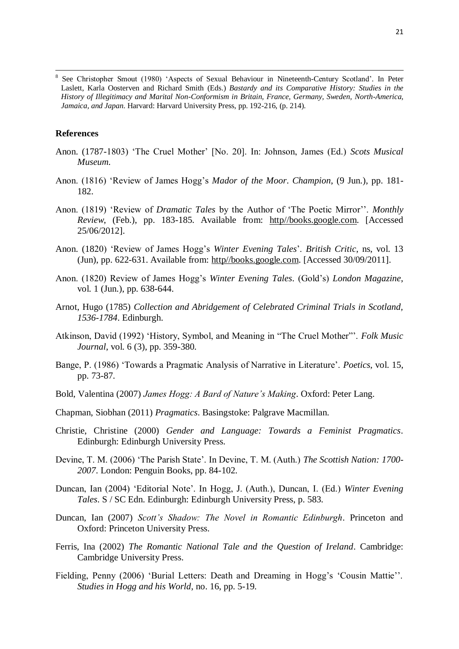8 See Christopher Smout (1980) 'Aspects of Sexual Behaviour in Nineteenth-Century Scotland'. In Peter Laslett, Karla Oosterven and Richard Smith (Eds.) *Bastardy and its Comparative History: Studies in the History of Illegitimacy and Marital Non-Conformism in Britain, France, Germany, Sweden, North-America, Jamaica, and Japan*. Harvard: Harvard University Press, pp. 192-216, (p. 214).

# **References**

**.** 

- Anon. (1787-1803) 'The Cruel Mother' [No. 20]. In: Johnson, James (Ed.) *Scots Musical Museum.*
- Anon. (1816) 'Review of James Hogg's *Mador of the Moor*. *Champion*, (9 Jun.), pp. 181- 182.
- Anon. (1819) 'Review of *Dramatic Tales* by the Author of 'The Poetic Mirror''. *Monthly Review*, (Feb.), pp. 183-185. Available from: http//books.google.com. [Accessed 25/06/2012].
- Anon. (1820) 'Review of James Hogg's *Winter Evening Tales*'. *British Critic*, ns, vol. 13 (Jun), pp. 622-631. Available from: http//books.google.com. [Accessed 30/09/2011].
- Anon. (1820) Review of James Hogg's *Winter Evening Tales*. (Gold's) *London Magazine*, vol. 1 (Jun.), pp. 638-644.
- Arnot, Hugo (1785) *Collection and Abridgement of Celebrated Criminal Trials in Scotland, 1536-1784*. Edinburgh.
- Atkinson, David (1992) 'History, Symbol, and Meaning in "The Cruel Mother"'. *Folk Music Journal*, vol. 6 (3), pp. 359-380.
- Bange, P. (1986) 'Towards a Pragmatic Analysis of Narrative in Literature'. *Poetics*, vol. 15, pp. 73-87.
- Bold, Valentina (2007) *James Hogg: A Bard of Nature's Making*. Oxford: Peter Lang.
- Chapman, Siobhan (2011) *Pragmatics*. Basingstoke: Palgrave Macmillan.
- Christie, Christine (2000) *Gender and Language: Towards a Feminist Pragmatics*. Edinburgh: Edinburgh University Press.
- Devine, T. M. (2006) 'The Parish State'. In Devine, T. M. (Auth.) *The Scottish Nation: 1700- 2007*. London: Penguin Books, pp. 84-102.
- Duncan, Ian (2004) 'Editorial Note'. In Hogg, J. (Auth.), Duncan, I. (Ed.) *Winter Evening Tales*. S / SC Edn. Edinburgh: Edinburgh University Press, p. 583.
- Duncan, Ian (2007) *Scott's Shadow: The Novel in Romantic Edinburgh*. Princeton and Oxford: Princeton University Press.
- Ferris, Ina (2002) *The Romantic National Tale and the Question of Ireland*. Cambridge: Cambridge University Press.
- Fielding, Penny (2006) 'Burial Letters: Death and Dreaming in Hogg's 'Cousin Mattie''. *Studies in Hogg and his World*, no. 16, pp. 5-19.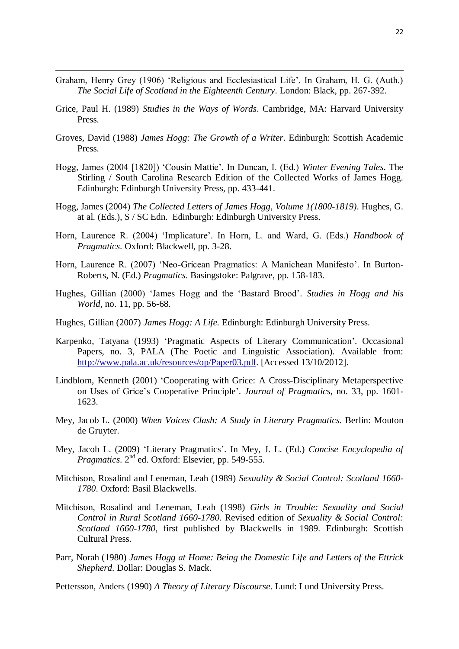Graham, Henry Grey (1906) 'Religious and Ecclesiastical Life'. In Graham, H. G. (Auth.) *The Social Life of Scotland in the Eighteenth Century*. London: Black, pp. 267-392.

**.** 

- Grice, Paul H. (1989) *Studies in the Ways of Words*. Cambridge, MA: Harvard University Press.
- Groves, David (1988) *James Hogg: The Growth of a Writer*. Edinburgh: Scottish Academic Press.
- Hogg, James (2004 [1820]) 'Cousin Mattie'. In Duncan, I. (Ed.) *Winter Evening Tales*. The Stirling / South Carolina Research Edition of the Collected Works of James Hogg. Edinburgh: Edinburgh University Press, pp. 433-441.
- Hogg, James (2004) *The Collected Letters of James Hogg*, *Volume 1(1800-1819)*. Hughes, G. at al. (Eds.), S / SC Edn. Edinburgh: Edinburgh University Press.
- Horn, Laurence R. (2004) 'Implicature'. In Horn, L. and Ward, G. (Eds.) *Handbook of Pragmatics*. Oxford: Blackwell, pp. 3-28.
- Horn, Laurence R. (2007) 'Neo-Gricean Pragmatics: A Manichean Manifesto'. In Burton-Roberts, N. (Ed.) *Pragmatics*. Basingstoke: Palgrave, pp. 158-183.
- Hughes, Gillian (2000) 'James Hogg and the 'Bastard Brood'. *Studies in Hogg and his World*, no. 11, pp. 56-68.
- Hughes, Gillian (2007) *James Hogg: A Life.* Edinburgh: Edinburgh University Press.
- Karpenko, Tatyana (1993) 'Pragmatic Aspects of Literary Communication'. Occasional Papers, no. 3, PALA (The Poetic and Linguistic Association). Available from: [http://www.pala.ac.uk/resources/op/Paper03.pdf.](http://www.pala.ac.uk/resources/op/Paper03.pdf) [Accessed 13/10/2012].
- Lindblom, Kenneth (2001) 'Cooperating with Grice: A Cross-Disciplinary Metaperspective on Uses of Grice's Cooperative Principle'. *Journal of Pragmatics*, no. 33, pp. 1601- 1623.
- Mey, Jacob L. (2000) *When Voices Clash: A Study in Literary Pragmatics*. Berlin: Mouton de Gruyter.
- Mey, Jacob L. (2009) 'Literary Pragmatics'. In Mey, J. L. (Ed.) *Concise Encyclopedia of Pragmatics*.  $2^{nd}$  ed. Oxford: Elsevier, pp. 549-555.
- Mitchison, Rosalind and Leneman, Leah (1989) *Sexuality & Social Control: Scotland 1660- 1780*. Oxford: Basil Blackwells.
- Mitchison, Rosalind and Leneman, Leah (1998) *Girls in Trouble: Sexuality and Social Control in Rural Scotland 1660-1780*. Revised edition of *Sexuality & Social Control: Scotland 1660-1780*, first published by Blackwells in 1989. Edinburgh: Scottish Cultural Press.
- Parr, Norah (1980) *James Hogg at Home: Being the Domestic Life and Letters of the Ettrick Shepherd*. Dollar: Douglas S. Mack.
- Pettersson, Anders (1990) *A Theory of Literary Discourse*. Lund: Lund University Press.